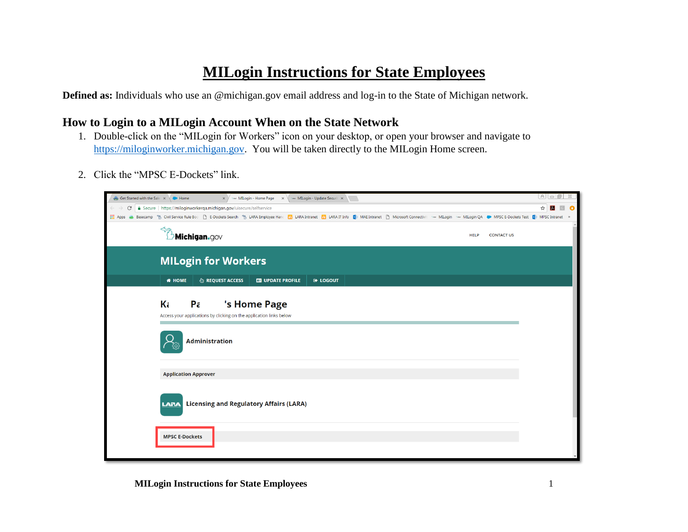# **MILogin Instructions for State Employees**

**Defined as:** Individuals who use an @michigan.gov email address and log-in to the State of Michigan network.

## **How to Login to a MILogin Account When on the State Network**

- 1. Double-click on the "MILogin for Workers" icon on your desktop, or open your browser and navigate to [https://miloginworker.michigan.gov.](https://miloginworker.michigan.gov/) You will be taken directly to the MILogin Home screen.
- 2. Click the "MPSC E-Dockets" link.

| Get Started with the Sale X Home | $\times$ $\times$ $\times$ $\times$ Milogin - Home Page $\times$ $\times$ Milogin - Update Securit $\times$                                                                                                                    |  |
|----------------------------------|--------------------------------------------------------------------------------------------------------------------------------------------------------------------------------------------------------------------------------|--|
| C                                | Secure   https://miloginworkerqa.michigan.gov/uisecure/selfservice                                                                                                                                                             |  |
| <b>III</b> Apps                  | Basecamp % Civil Service Rule Boo [3] E-Dockets Search % LARA Employee Hand [6] LARA Intranet [6] LARA IT Info [5] MAE Intranet [3] Microsoft Connectivit ** Millogin ** Millogin ** Millogin (A DAPSC E-Dockets Test [5] MPSC |  |
|                                  | $\overleftrightarrow{ }$ Michigan.gov<br><b>HELP</b><br><b>CONTACT US</b>                                                                                                                                                      |  |
|                                  | <b>MILogin for Workers</b>                                                                                                                                                                                                     |  |
|                                  | <b><i>S</i></b> REQUEST ACCESS<br><b># HOME</b><br><b>ES UPDATE PROFILE</b><br><b>E</b> LOGOUT                                                                                                                                 |  |
|                                  | Κċ<br>Pa<br>'s Home Page<br>Access your applications by clicking on the application links below                                                                                                                                |  |
|                                  | <b>Administration</b>                                                                                                                                                                                                          |  |
|                                  | <b>Application Approver</b>                                                                                                                                                                                                    |  |
|                                  | <b>Licensing and Regulatory Affairs (LARA)</b><br><b>LARA</b>                                                                                                                                                                  |  |
|                                  | <b>MPSC E-Dockets</b>                                                                                                                                                                                                          |  |

**MILogin Instructions for State Employees** 1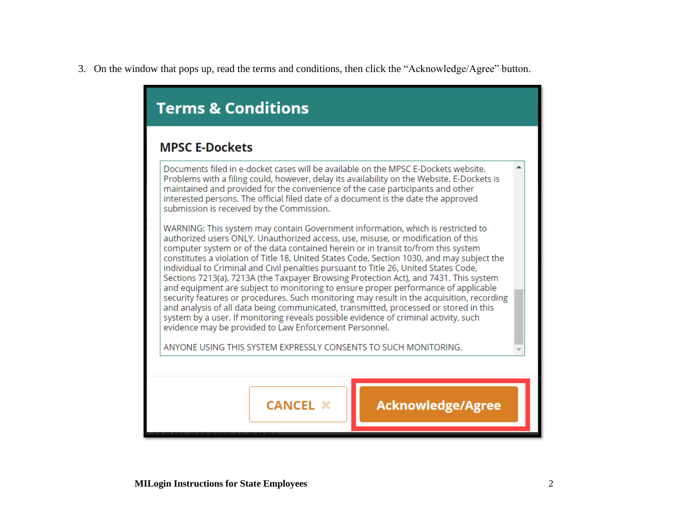3. On the window that pops up, read the terms and conditions, then click the "Acknowledge/Agree" button.

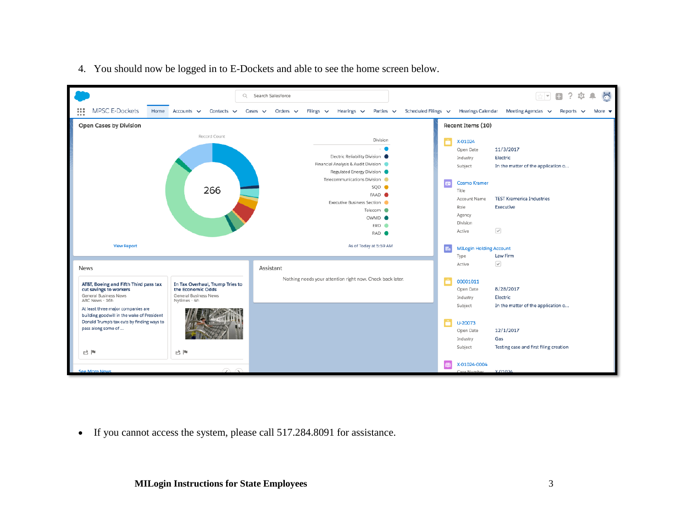

4. You should now be logged in to E-Dockets and able to see the home screen below.

• If you cannot access the system, please call 517.284.8091 for assistance.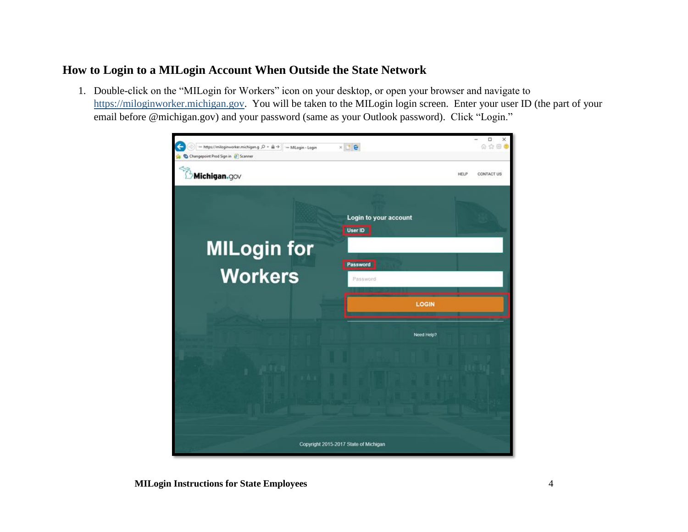## **How to Login to a MILogin Account When Outside the State Network**

1. Double-click on the "MILogin for Workers" icon on your desktop, or open your browser and navigate to [https://miloginworker.michigan.gov.](https://miloginworker.michigan.gov/) You will be taken to the MILogin login screen. Enter your user ID (the part of your email before @michigan.gov) and your password (same as your Outlook password). Click "Login."

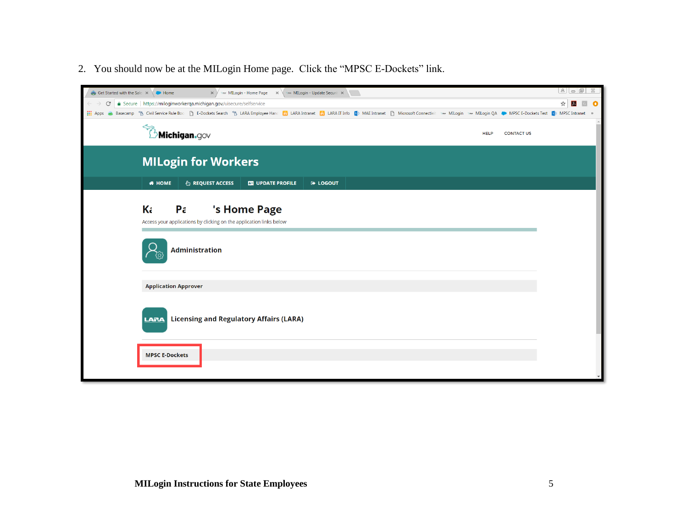2. You should now be at the MILogin Home page. Click the "MPSC E-Dockets" link.

| Get Started with the Sale: x Home |                                                                                                                                                                                                                               |  |
|-----------------------------------|-------------------------------------------------------------------------------------------------------------------------------------------------------------------------------------------------------------------------------|--|
| C                                 | Secure   https://miloginworkerqa.michigan.gov/uisecure/selfservice                                                                                                                                                            |  |
|                                   | :::: Apps < Basecamp % Civil Service Rule Boc La E-Dockets Search % LARA Employee Hanc La LARA Intranet La LARA IT Info B MAE Intranet La Microsoft Connectivit > Millogin > Millogin QA MPSC E-Dockets Test Ep MPSC Intranet |  |
|                                   | <b>Michigan.</b> gov<br><b>HELP</b><br><b>CONTACT US</b>                                                                                                                                                                      |  |
|                                   | <b>MILogin for Workers</b>                                                                                                                                                                                                    |  |
|                                   | <b># HOME</b><br><b>&amp; REQUEST ACCESS</b><br><b>ER UPDATE PROFILE</b><br><b>E</b> LOGOUT                                                                                                                                   |  |
|                                   | Kċ<br>'s Home Page<br>$P\tilde{c}$<br>Access your applications by clicking on the application links below<br><b>Administration</b>                                                                                            |  |
|                                   | <b>Application Approver</b>                                                                                                                                                                                                   |  |
|                                   | <b>Licensing and Regulatory Affairs (LARA)</b><br><b>LARA</b><br><b>MPSC E-Dockets</b>                                                                                                                                        |  |
|                                   |                                                                                                                                                                                                                               |  |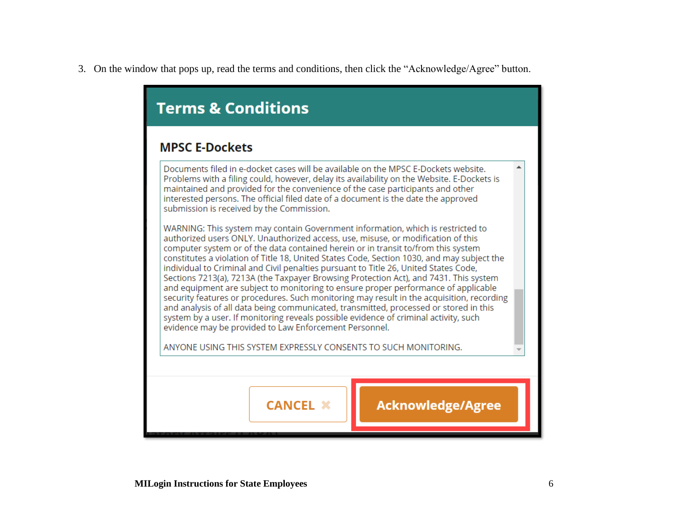3. On the window that pops up, read the terms and conditions, then click the "Acknowledge/Agree" button.

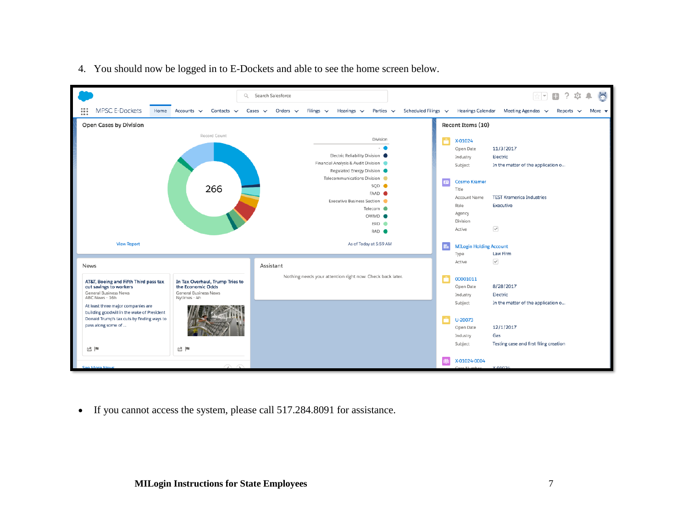

4. You should now be logged in to E-Dockets and able to see the home screen below.

• If you cannot access the system, please call 517.284.8091 for assistance.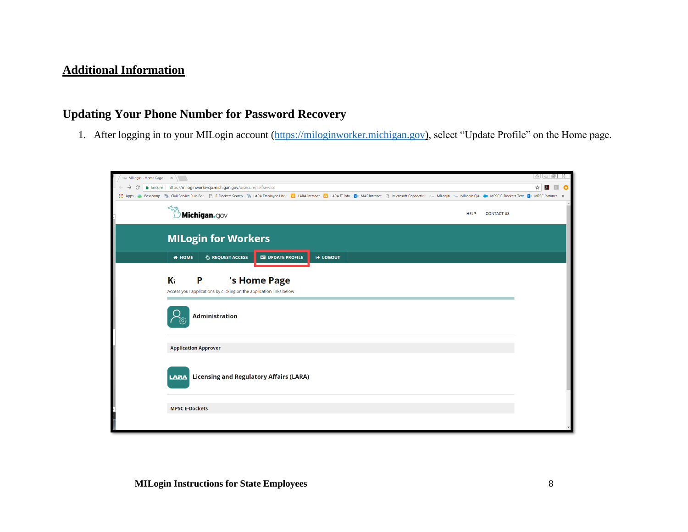## **Additional Information**

## **Updating Your Phone Number for Password Recovery**

1. After logging in to your MILogin account [\(https://miloginworker.michigan.gov\)](https://miloginworker.michigan.gov/), select "Update Profile" on the Home page.

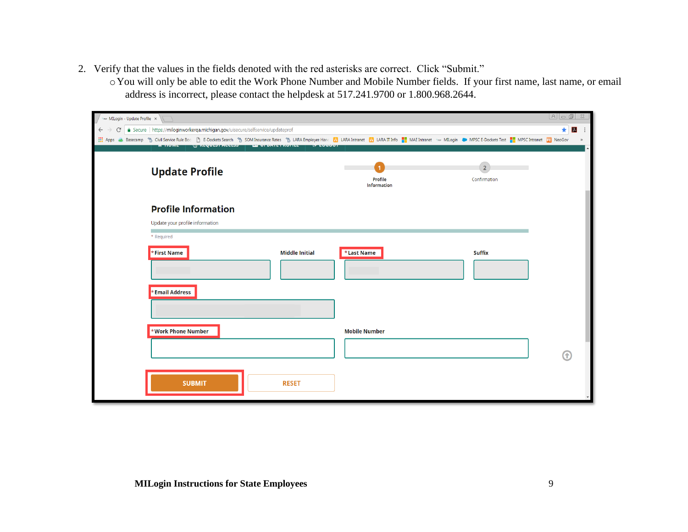- 2. Verify that the values in the fields denoted with the red asterisks are correct. Click "Submit."
	- oYou will only be able to edit the Work Phone Number and Mobile Number fields. If your first name, last name, or email address is incorrect, please contact the helpdesk at 517.241.9700 or 1.800.968.2644.

| The MILogin - Update Profile X |                                                                                                                                                                                                                                                                                                                             |                               |                                |                  |
|--------------------------------|-----------------------------------------------------------------------------------------------------------------------------------------------------------------------------------------------------------------------------------------------------------------------------------------------------------------------------|-------------------------------|--------------------------------|------------------|
| $\leftarrow$                   | △ Secure   https://miloginworkerqa.michigan.gov/uisecure/selfservice/updateprof                                                                                                                                                                                                                                             |                               |                                | $\star$<br>$\mu$ |
| : Apps →                       | Basecamp <sup>®</sup> & Civil Service Rule Boc <u> </u> B-Dockets Search <sup>®</sup> & SOM Insurance Rates ®& LARA Employee Hanc   BB LARA Intranet   BB LARA II Info   MAE Intranet 1 me MILogin ( MPSC E-Dockets Test   MPSC Intranet   23 NeoGov<br>WINDOWSTRUCKS HE OF DRILLINGTED<br><b>GENERAL</b><br><b>TERMINE</b> |                               |                                |                  |
|                                | <b>Update Profile</b>                                                                                                                                                                                                                                                                                                       | Profile<br><b>Information</b> | $\overline{2}$<br>Confirmation |                  |
|                                | <b>Profile Information</b>                                                                                                                                                                                                                                                                                                  |                               |                                |                  |
|                                | Update your profile information                                                                                                                                                                                                                                                                                             |                               |                                |                  |
|                                | * Required                                                                                                                                                                                                                                                                                                                  |                               |                                |                  |
|                                | *First Name<br><b>Middle Initial</b>                                                                                                                                                                                                                                                                                        | <b>*Last Name</b>             | <b>Suffix</b>                  |                  |
|                                | * Email Address                                                                                                                                                                                                                                                                                                             |                               |                                |                  |
|                                | *Work Phone Number                                                                                                                                                                                                                                                                                                          | <b>Mobile Number</b>          |                                |                  |
|                                |                                                                                                                                                                                                                                                                                                                             |                               |                                |                  |
|                                | <b>SUBMIT</b><br><b>RESET</b>                                                                                                                                                                                                                                                                                               |                               |                                |                  |